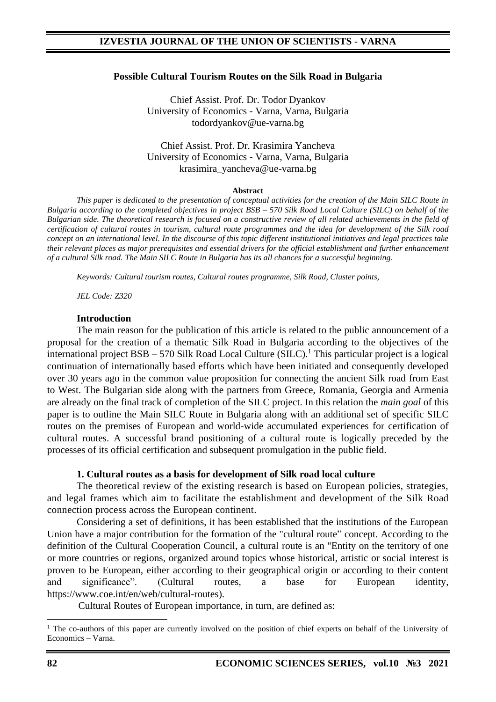#### **Possible Cultural Tourism Routes on the Silk Road in Bulgaria**

Chief Assist. Prof. Dr. Todor Dyankov University of Economics - Varna, Varna, Bulgaria todordyankov@ue-varna.bg

#### Chief Assist. Prof. Dr. Krasimira Yancheva University of Economics - Varna, Varna, Bulgaria krasimira\_yancheva@ue-varna.bg

#### **Abstract**

*This paper is dedicated to the presentation of conceptual activities for the creation of the Main SILC Route in Bulgaria according to the completed objectives in project BSB – 570 Silk Road Local Culture (SILC) on behalf of the Bulgarian side. The theoretical research is focused on a constructive review of all related achievements in the field of certification of cultural routes in tourism, cultural route programmes and the idea for development of the Silk road concept on an international level. In the discourse of this topic different institutional initiatives and legal practices take their relevant places as major prerequisites and essential drivers for the official establishment and further enhancement of a cultural Silk road. The Main SILC Route in Bulgaria has its all chances for a successful beginning.* 

*Keywords: Cultural tourism routes, Cultural routes programme, Silk Road, Cluster points,* 

*JEL Code: Z320*

#### **Introduction**

The main reason for the publication of this article is related to the public announcement of a proposal for the creation of a thematic Silk Road in Bulgaria according to the objectives of the international project BSB – 570 Silk Road Local Culture (SILC). <sup>1</sup> This particular project is a logical continuation of internationally based efforts which have been initiated and consequently developed over 30 years ago in the common value proposition for connecting the ancient Silk road from East to West. The Bulgarian side along with the partners from Greece, Romania, Georgia and Armenia are already on the final track of completion of the SILC project. In this relation the *main goal* of this paper is to outline the Main SILC Route in Bulgaria along with an additional set of specific SILC routes on the premises of European and world-wide accumulated experiences for certification of cultural routes. A successful brand positioning of a cultural route is logically preceded by the processes of its official certification and subsequent promulgation in the public field.

#### **1. Cultural routes as a basis for development of Silk road local culture**

The theoretical review of the existing research is based on European policies, strategies, and legal frames which aim to facilitate the establishment and development of the Silk Road connection process across the European continent.

Considering a set of definitions, it has been established that the institutions of the European Union have a major contribution for the formation of the "cultural route" concept. According to the definition of the Cultural Cooperation Council, a cultural route is an "Entity on the territory of one or more countries or regions, organized around topics whose historical, artistic or social interest is proven to be European, either according to their geographical origin or according to their content and significance". (Cultural routes, a base for European identity, https://www.coe.int/en/web/cultural-routes).

Cultural Routes of European importance, in turn, are defined as:

<sup>&</sup>lt;sup>1</sup> The co-authors of this paper are currently involved on the position of chief experts on behalf of the University of Economics – Varna.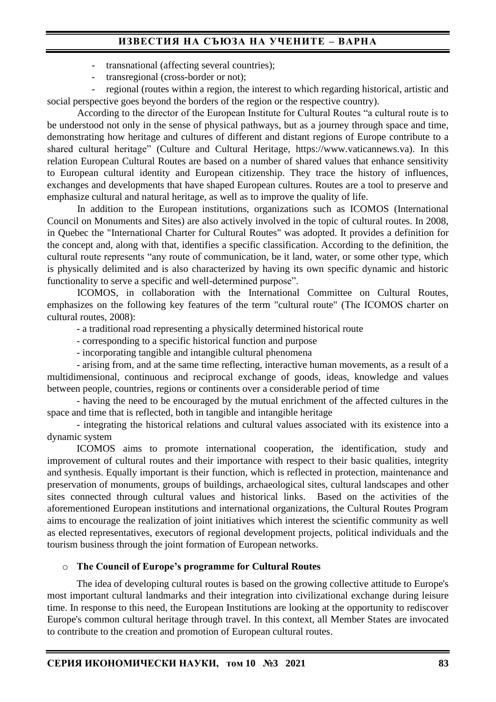- transnational (affecting several countries);
- transregional (cross-border or not);

regional (routes within a region, the interest to which regarding historical, artistic and social perspective goes beyond the borders of the region or the respective country).

According to the director of the European Institute for Cultural Routes "a cultural route is to be understood not only in the sense of physical pathways, but as a journey through space and time, demonstrating how heritage and cultures of different and distant regions of Europe contribute to a shared cultural heritage" (Culture and Cultural Heritage, https://www.vaticannews.va). In this relation European Cultural Routes are based on a number of shared values that enhance sensitivity to European cultural identity and European citizenship. They trace the history of influences, exchanges and developments that have shaped European cultures. Routes are a tool to preserve and emphasize cultural and natural heritage, as well as to improve the quality of life.

In addition to the European institutions, organizations such as ICOMOS (International Council on Monuments and Sites) are also actively involved in the topic of cultural routes. In 2008, in Quebec the "International Charter for Cultural Routes" was adopted. It provides a definition for the concept and, along with that, identifies a specific classification. According to the definition, the cultural route represents "any route of communication, be it land, water, or some other type, which is physically delimited and is also characterized by having its own specific dynamic and historic functionality to serve a specific and well-determined purpose".

ICOMOS, in collaboration with the International Committee on Cultural Routes, emphasizes on the following key features of the term "cultural route" (Тhe ICOMOS charter on cultural routes, 2008):

- a traditional road representing a physically determined historical route
- corresponding to a specific historical function and purpose
- incorporating tangible and intangible cultural phenomena

- arising from, and at the same time reflecting, interactive human movements, as a result of a multidimensional, continuous and reciprocal exchange of goods, ideas, knowledge and values between people, countries, regions or continents over a considerable period of time

- having the need to be encouraged by the mutual enrichment of the affected cultures in the space and time that is reflected, both in tangible and intangible heritage

- integrating the historical relations and cultural values associated with its existence into a dynamic system

ICOMOS aims to promote international cooperation, the identification, study and improvement of cultural routes and their importance with respect to their basic qualities, integrity and synthesis. Equally important is their function, which is reflected in protection, maintenance and preservation of monuments, groups of buildings, archaeological sites, cultural landscapes and other sites connected through cultural values and historical links. Based on the activities of the aforementioned European institutions and international organizations, the Cultural Routes Program aims to encourage the realization of joint initiatives which interest the scientific community as well as elected representatives, executors of regional development projects, political individuals and the tourism business through the joint formation of European networks.

#### o **The Council of Europe's programme for Cultural Routes**

The idea of developing cultural routes is based on the growing collective attitude to Europe's most important cultural landmarks and their integration into civilizational exchange during leisure time. In response to this need, the European Institutions are looking at the opportunity to rediscover Europe's common cultural heritage through travel. In this context, all Member States are invocated to contribute to the creation and promotion of European cultural routes.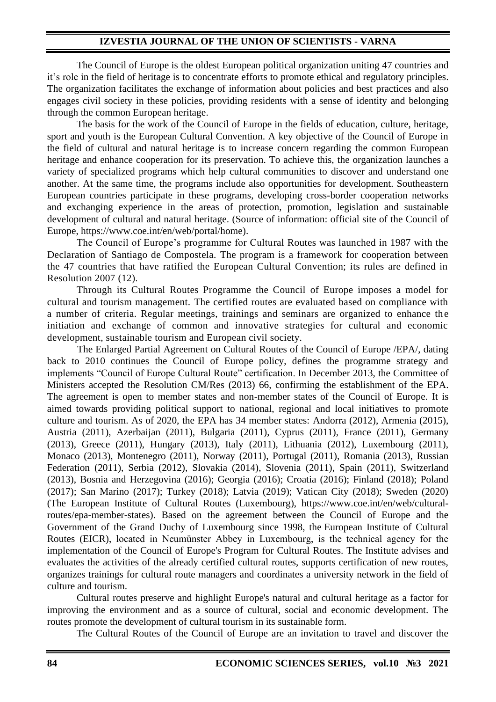The Council of Europe is the oldest European political organization uniting 47 countries and it's role in the field of heritage is to concentrate efforts to promote ethical and regulatory principles. The organization facilitates the exchange of information about policies and best practices and also engages civil society in these policies, providing residents with a sense of identity and belonging through the common European heritage.

The basis for the work of the Council of Europe in the fields of education, culture, heritage, sport and youth is the European Cultural Convention. A key objective of the Council of Europe in the field of cultural and natural heritage is to increase concern regarding the common European heritage and enhance cooperation for its preservation. To achieve this, the organization launches a variety of specialized programs which help cultural communities to discover and understand one another. At the same time, the programs include also opportunities for development. Southeastern European countries participate in these programs, developing cross-border cooperation networks and exchanging experience in the areas of protection, promotion, legislation and sustainable development of cultural and natural heritage. (Source of information: official site of the Council of Europe, https://www.coe.int/en/web/portal/home).

The Council of Europe's programme for Cultural Routes was launched in 1987 with the Declaration of Santiago de Compostela. The program is a framework for cooperation between the 47 countries that have ratified the European Cultural Convention; its rules are defined in Resolution 2007 (12).

Through its Cultural Routes Programme the Council of Europe imposes a model for cultural and tourism management. The certified routes are evaluated based on compliance with a number of criteria. Regular meetings, trainings and seminars are organized to enhance the initiation and exchange of common and innovative strategies for cultural and economic development, sustainable tourism and European civil society.

The Enlarged Partial Agreement on Cultural Routes of the Council of Europe /EPA/, dating back to 2010 continues the Council of Europe policy, defines the programme strategy and implements "Council of Europe Cultural Route" certification. In December 2013, the Committee of Ministers accepted the Resolution CM/Res (2013) 66, confirming the establishment of the EPA. The agreement is open to member states and non-member states of the Council of Europe. It is aimed towards providing political support to national, regional and local initiatives to promote culture and tourism. As of 2020, the EPA has 34 member states: Andorra (2012), Armenia (2015), Austria (2011), Azerbaijan (2011), Bulgaria (2011), Cyprus (2011), France (2011), Germany (2013), Greece (2011), Hungary (2013), Italy (2011), Lithuania (2012), Luxembourg (2011), Monaco (2013), Montenegro (2011), Norway (2011), Portugal (2011), Romania (2013), Russian Federation (2011), Serbia (2012), Slovakia (2014), Slovenia (2011), Spain (2011), Switzerland (2013), Bosnia and Herzegovina (2016); Georgia (2016); Croatia (2016); Finland (2018); Poland (2017); San Marino (2017); Turkey (2018); Latvia (2019); Vatican City (2018); Sweden (2020) (The European Institute of Cultural Routes (Luxembourg), https://www.coe.int/en/web/culturalroutes/epa-member-states). Based on the agreement between the Council of Europe and the Government of the Grand Duchy of Luxembourg since 1998, the European Institute of Cultural Routes (EICR), located in Neumünster Abbey in Luxembourg, is the technical agency for the implementation of the Council of Europe's Program for Cultural Routes. The Institute advises and evaluates the activities of the already certified cultural routes, supports certification of new routes, organizes trainings for cultural route managers and coordinates a university network in the field of culture and tourism.

Cultural routes preserve and highlight Europe's natural and cultural heritage as a factor for improving the environment and as a source of cultural, social and economic development. The routes promote the development of cultural tourism in its sustainable form.

The Cultural Routes of the Council of Europe are an invitation to travel and discover the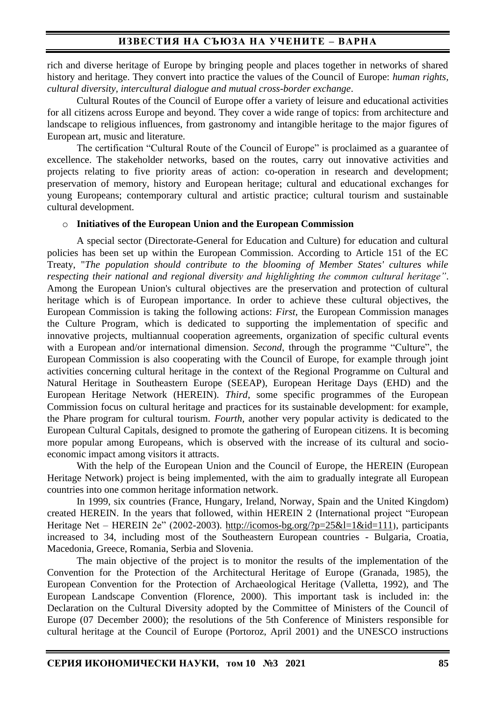rich and diverse heritage of Europe by bringing people and places together in networks of shared history and heritage. They convert into practice the values of the Council of Europe: *human rights, cultural diversity, intercultural dialogue and mutual cross-border exchange*.

Cultural Routes of the Council of Europe offer a variety of leisure and educational activities for all citizens across Europe and beyond. They cover a wide range of topics: from architecture and landscape to religious influences, from gastronomy and intangible heritage to the major figures of European art, music and literature.

The certification "Cultural Route of the Council of Europe" is proclaimed as a guarantee of excellence. The stakeholder networks, based on the routes, carry out innovative activities and projects relating to five priority areas of action: co-operation in research and development; preservation of memory, history and European heritage; cultural and educational exchanges for young Europeans; contemporary cultural and artistic practice; cultural tourism and sustainable cultural development.

#### o **Initiatives of the European Union and the European Commission**

A special sector (Directorate-General for Education and Culture) for education and cultural policies has been set up within the European Commission. According to Article 151 of the EC Treaty, "*The population should contribute to the blooming of Member States' cultures while respecting their national and regional diversity and highlighting the common cultural heritage"*. Among the European Union's cultural objectives are the preservation and protection of cultural heritage which is of European importance. In order to achieve these cultural objectives, the European Commission is taking the following actions: *First*, the European Commission manages the Culture Program, which is dedicated to supporting the implementation of specific and innovative projects, multiannual cooperation agreements, organization of specific cultural events with a European and/or international dimension. *Second*, through the programme "Culture", the European Commission is also cooperating with the Council of Europe, for example through joint activities concerning cultural heritage in the context of the Regional Programme on Cultural and Natural Heritage in Southeastern Europe (SEEAP), European Heritage Days (EHD) and the European Heritage Network (HEREIN). *Third*, some specific programmes of the European Commission focus on cultural heritage and practices for its sustainable development: for example, the Phare program for cultural tourism. *Fourth*, another very popular activity is dedicated to the European Cultural Capitals, designed to promote the gathering of European citizens. It is becoming more popular among Europeans, which is observed with the increase of its cultural and socioeconomic impact among visitors it attracts.

With the help of the European Union and the Council of Europe, the HEREIN (European Heritage Network) project is being implemented, with the aim to gradually integrate all European countries into one common heritage information network.

In 1999, six countries (France, Hungary, Ireland, Norway, Spain and the United Kingdom) created HEREIN. In the years that followed, within HEREIN 2 (International project "European Heritage Net – HEREIN 2e" (2002-2003). <http://icomos-bg.org/?p=25&l=1&id=111>), participants increased to 34, including most of the Southeastern European countries - Bulgaria, Croatia, Macedonia, Greece, Romania, Serbia and Slovenia.

The main objective of the project is to monitor the results of the implementation of the Convention for the Protection of the Architectural Heritage of Europe (Granada, 1985), the European Convention for the Protection of Archaeological Heritage (Valletta, 1992), and The European Landscape Convention (Florence, 2000). This important task is included in: the Declaration on the Cultural Diversity adopted by the Committee of Ministers of the Council of Europe (07 December 2000); the resolutions of the 5th Conference of Ministers responsible for cultural heritage at the Council of Europe (Portoroz, April 2001) and the UNESCO instructions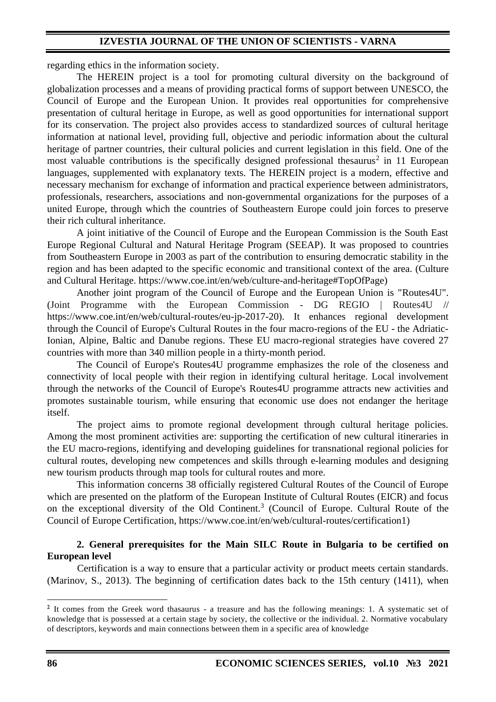regarding ethics in the information society.

The HEREIN project is a tool for promoting cultural diversity on the background of globalization processes and a means of providing practical forms of support between UNESCO, the Council of Europe and the European Union. It provides real opportunities for comprehensive presentation of cultural heritage in Europe, as well as good opportunities for international support for its conservation. The project also provides access to standardized sources of cultural heritage information at national level, providing full, objective and periodic information about the cultural heritage of partner countries, their cultural policies and current legislation in this field. One of the most valuable contributions is the specifically designed professional thesaurus<sup>2</sup> in 11 European languages, supplemented with explanatory texts. The HEREIN project is a modern, effective and necessary mechanism for exchange of information and practical experience between administrators, professionals, researchers, associations and non-governmental organizations for the purposes of a united Europe, through which the countries of Southeastern Europe could join forces to preserve their rich cultural inheritance.

A joint initiative of the Council of Europe and the European Commission is the South East Europe Regional Cultural and Natural Heritage Program (SEEAP). It was proposed to countries from Southeastern Europe in 2003 as part of the contribution to ensuring democratic stability in the region and has been adapted to the specific economic and transitional context of the area. (Culture and Cultural Heritage. https://www.coe.int/en/web/culture-and-heritage#TopOfPage)

Another joint program of the Council of Europe and the European Union is "Routes4U". (Joint Programme with the European Commission - DG REGIO | Routes4U // https://www.coe.int/en/web/cultural-routes/eu-jp-2017-20). It enhances regional development through the Council of Europe's Cultural Routes in the four macro-regions of the EU - the Adriatic-Ionian, Alpine, Baltic and Danube regions. These EU macro-regional strategies have covered 27 countries with more than 340 million people in a thirty-month period.

The Council of Europe's Routes4U programme emphasizes the role of the closeness and connectivity of local people with their region in identifying cultural heritage. Local involvement through the networks of the Council of Europe's Routes4U programme attracts new activities and promotes sustainable tourism, while ensuring that economic use does not endanger the heritage itself.

The project aims to promote regional development through cultural heritage policies. Among the most prominent activities are: supporting the certification of new cultural itineraries in the EU macro-regions, identifying and developing guidelines for transnational regional policies for cultural routes, developing new competences and skills through e-learning modules and designing new tourism products through map tools for cultural routes and more.

This information concerns 38 officially registered Cultural Routes of the Council of Europe which are presented on the platform of the European Institute of Cultural Routes (EICR) and focus on the exceptional diversity of the Old Continent.<sup>3</sup> (Council of Europe. Cultural Route of the Council of Europe Certification, https://www.coe.int/en/web/cultural-routes/certification1)

### **2. General prerequisites for the Main SILC Route in Bulgaria to be certified on European level**

Certification is a way to ensure that a particular activity or product meets certain standards. (Marinov, S., 2013). The beginning of certification dates back to the 15th century (1411), when

<sup>&</sup>lt;sup>2</sup> It comes from the Greek word thasaurus - a treasure and has the following meanings: 1. A systematic set of knowledge that is possessed at a certain stage by society, the collective or the individual. 2. Normative vocabulary of descriptors, keywords and main connections between them in a specific area of knowledge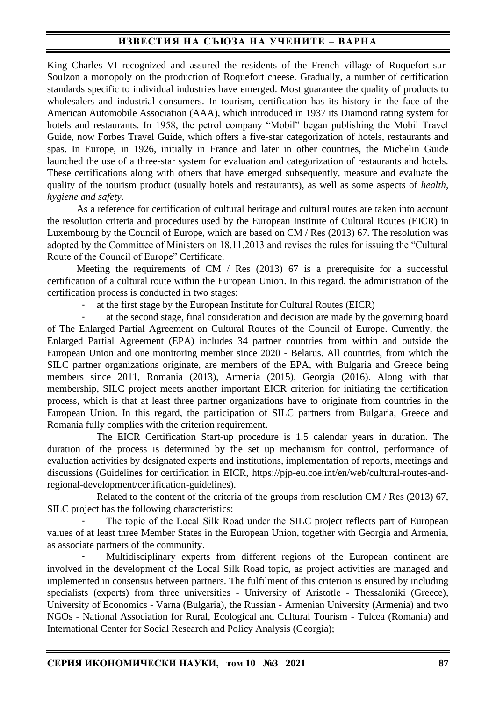King Charles VI recognized and assured the residents of the French village of Roquefort-sur-Soulzon a monopoly on the production of Roquefort cheese. Gradually, a number of certification standards specific to individual industries have emerged. Most guarantee the quality of products to wholesalers and industrial consumers. In tourism, certification has its history in the face of the American Automobile Association (AAA), which introduced in 1937 its Diamond rating system for hotels and restaurants. In 1958, the petrol company "Mobil" began publishing the Mobil Travel Guide, now Forbes Travel Guide, which offers a five-star categorization of hotels, restaurants and spas. In Europe, in 1926, initially in France and later in other countries, the Michelin Guide launched the use of a three-star system for evaluation and categorization of restaurants and hotels. These certifications along with others that have emerged subsequently, measure and evaluate the quality of the tourism product (usually hotels and restaurants), as well as some aspects of *health, hygiene and safety.*

As a reference for certification of cultural heritage and cultural routes are taken into account the resolution criteria and procedures used by the European Institute of Cultural Routes (EICR) in Luxembourg by the Council of Europe, which are based on CM / Res (2013) 67. The resolution was adopted by the Committee of Ministers on 18.11.2013 and revises the rules for issuing the "Cultural Route of the Council of Europe" Certificate.

Meeting the requirements of CM / Res (2013) 67 is a prerequisite for a successful certification of a cultural route within the European Union. In this regard, the administration of the certification process is conducted in two stages:

- at the first stage by the European Institute for Cultural Routes (EICR)

at the second stage, final consideration and decision are made by the governing board of The Enlarged Partial Agreement on Cultural Routes of the Council of Europe. Currently, the Enlarged Partial Agreement (EPA) includes 34 partner countries from within and outside the European Union and one monitoring member since 2020 - Belarus. All countries, from which the SILC partner organizations originate, are members of the EPA, with Bulgaria and Greece being members since 2011, Romania (2013), Armenia (2015), Georgia (2016). Along with that membership, SILC project meets another important EICR criterion for initiating the certification process, which is that at least three partner organizations have to originate from countries in the European Union. In this regard, the participation of SILC partners from Bulgaria, Greece and Romania fully complies with the criterion requirement.

The EICR Certification Start-up procedure is 1.5 calendar years in duration. The duration of the process is determined by the set up mechanism for control, performance of evaluation activities by designated experts and institutions, implementation of reports, meetings and discussions (Guidelines for certification in EICR, https://pjp-eu.coe.int/en/web/cultural-routes-andregional-development/certification-guidelines).

Related to the content of the criteria of the groups from resolution CM / Res (2013) 67, SILC project has the following characteristics:

The topic of the Local Silk Road under the SILC project reflects part of European values of at least three Member States in the European Union, together with Georgia and Armenia, as associate partners of the community.

Multidisciplinary experts from different regions of the European continent are involved in the development of the Local Silk Road topic, as project activities are managed and implemented in consensus between partners. The fulfilment of this criterion is ensured by including specialists (experts) from three universities - University of Aristotle - Thessaloniki (Greece), University of Economics - Varna (Bulgaria), the Russian - Armenian University (Armenia) and two NGOs - National Association for Rural, Ecological and Cultural Tourism - Tulcea (Romania) and International Center for Social Research and Policy Analysis (Georgia);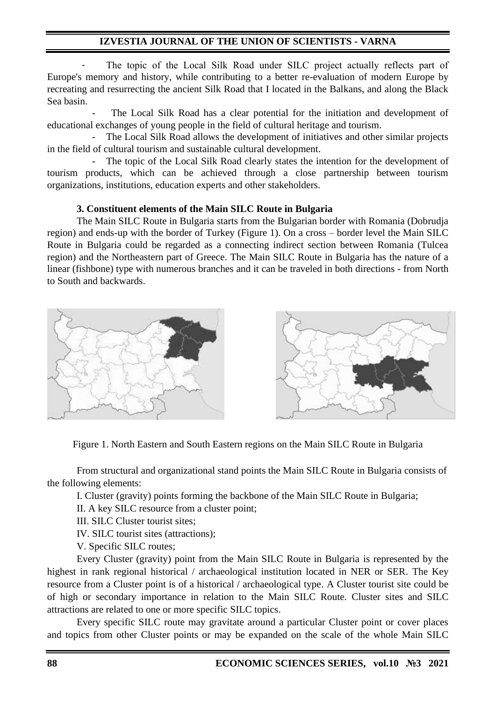The topic of the Local Silk Road under SILC project actually reflects part of Europe's memory and history, while contributing to a better re-evaluation of modern Europe by recreating and resurrecting the ancient Silk Road that I located in the Balkans, and along the Black Sea basin.

The Local Silk Road has a clear potential for the initiation and development of educational exchanges of young people in the field of cultural heritage and tourism.

The Local Silk Road allows the development of initiatives and other similar projects in the field of cultural tourism and sustainable cultural development.

- The topic of the Local Silk Road clearly states the intention for the development of tourism products, which can be achieved through a close partnership between tourism organizations, institutions, education experts and other stakeholders.

#### **3. Constituent elements of the Main SILC Route in Bulgaria**

The Main SILC Route in Bulgaria starts from the Bulgarian border with Romania (Dobrudja region) and ends-up with the border of Turkey (Figure 1). On a cross – border level the Main SILC Route in Bulgaria could be regarded as a connecting indirect section between Romania (Tulcea region) and the Northeastern part of Greece. The Main SILC Route in Bulgaria has the nature of a linear (fishbone) type with numerous branches and it can be traveled in both directions - from North to South and backwards.



Figure 1. North Eastern and South Eastern regions on the Main SILC Route in Bulgaria

From structural and organizational stand points the Main SILC Route in Bulgaria consists of the following elements:

I. Cluster (gravity) points forming the backbone of the Main SILC Route in Bulgaria;

II. A key SILC resource from a cluster point;

III. SILC Cluster tourist sites;

IV. SILC tourist sites (attractions);

V. Specific SILC routes;

Every Cluster (gravity) point from the Main SILC Route in Bulgaria is represented by the highest in rank regional historical / archaeological institution located in NER or SER. The Key resource from a Cluster point is of a historical / archaeological type. A Cluster tourist site could be of high or secondary importance in relation to the Main SILC Route. Cluster sites and SILC attractions are related to one or more specific SILC topics.

Every specific SILC route may gravitate around a particular Cluster point or cover places and topics from other Cluster points or may be expanded on the scale of the whole Main SILC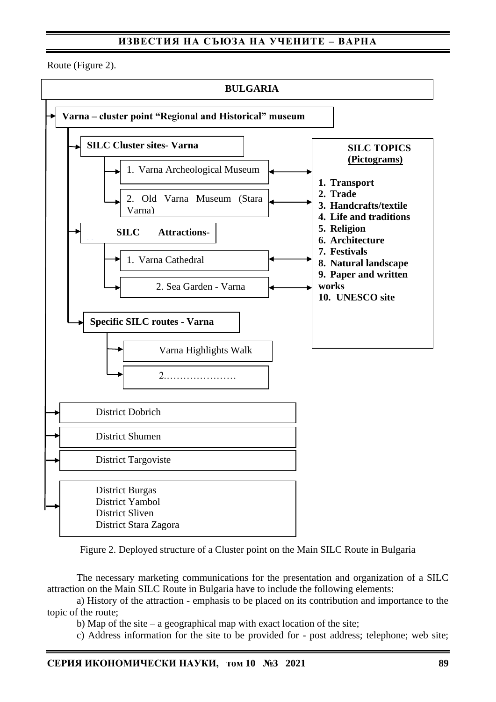Route (Figure 2).



Figure 2. Deployed structure of a Cluster point on the Main SILC Route in Bulgaria

The necessary marketing communications for the presentation and organization of a SILC attraction on the Main SILC Route in Bulgaria have to include the following elements:

a) History of the attraction - emphasis to be placed on its contribution and importance to the topic of the route;

b) Map of the site – a geographical map with exact location of the site;

c) Address information for the site to be provided for - post address; telephone; web site;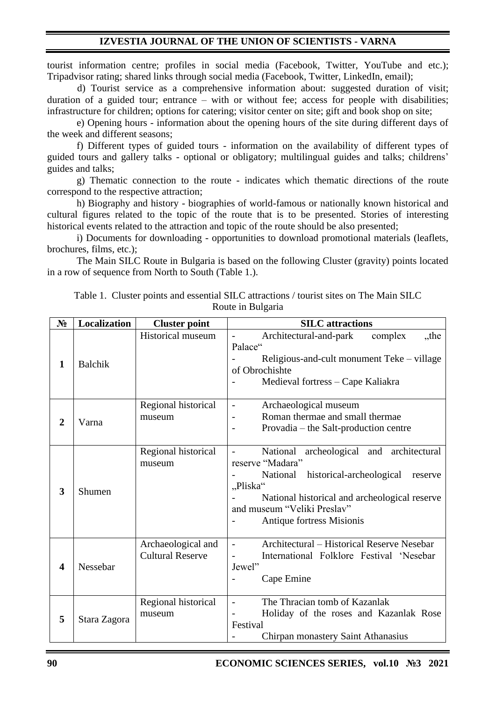tourist information centre; profiles in social media (Facebook, Twitter, YouTube and etc.); Tripadvisor rating; shared links through social media (Facebook, Twitter, LinkedIn, email);

d) Tourist service as a comprehensive information about: suggested duration of visit; duration of a guided tour; entrance – with or without fee; access for people with disabilities; infrastructure for children; options for catering; visitor center on site; gift and book shop on site;

e) Opening hours - information about the opening hours of the site during different days of the week and different seasons;

f) Different types of guided tours - information on the availability of different types of guided tours and gallery talks - optional or obligatory; multilingual guides and talks; childrens' guides and talks;

g) Thematic connection to the route - indicates which thematic directions of the route correspond to the respective attraction;

h) Biography and history - biographies of world-famous or nationally known historical and cultural figures related to the topic of the route that is to be presented. Stories of interesting historical events related to the attraction and topic of the route should be also presented;

i) Documents for downloading - opportunities to download promotional materials (leaflets, brochures, films, etc.);

The Main SILC Route in Bulgaria is based on the following Cluster (gravity) points located in a row of sequence from North to South (Table 1.).

| N <sub>2</sub> | Localization   | <b>Cluster point</b>                          | <b>SILC</b> attractions                                                                                                                                                                                                                                              |
|----------------|----------------|-----------------------------------------------|----------------------------------------------------------------------------------------------------------------------------------------------------------------------------------------------------------------------------------------------------------------------|
| $\mathbf{1}$   | <b>Balchik</b> | <b>Historical museum</b>                      | Architectural-and-park<br>complex<br>,,the<br>Palace"<br>Religious-and-cult monument Teke – village<br>of Obrochishte<br>Medieval fortress - Cape Kaliakra                                                                                                           |
| $\mathbf{2}$   | Varna          | Regional historical<br>museum                 | Archaeological museum<br>$\qquad \qquad -$<br>Roman thermae and small thermae<br>Provadia – the Salt-production centre                                                                                                                                               |
| 3              | Shumen         | Regional historical<br>museum                 | National archeological and architectural<br>$\overline{\phantom{0}}$<br>reserve "Madara"<br>historical-archeological<br>National<br>reserve<br>"Pliska"<br>National historical and archeological reserve<br>and museum "Veliki Preslav"<br>Antique fortress Misionis |
| 4              | Nessebar       | Archaeological and<br><b>Cultural Reserve</b> | Architectural - Historical Reserve Nesebar<br>International Folklore Festival 'Nesebar<br>Jewel"<br>Cape Emine                                                                                                                                                       |
| 5              | Stara Zagora   | Regional historical<br>museum                 | The Thracian tomb of Kazanlak<br>$\overline{a}$<br>Holiday of the roses and Kazanlak Rose<br>Festival<br>Chirpan monastery Saint Athanasius                                                                                                                          |

Table 1. Cluster points and essential SILC attractions / tourist sites on The Main SILC Route in Bulgaria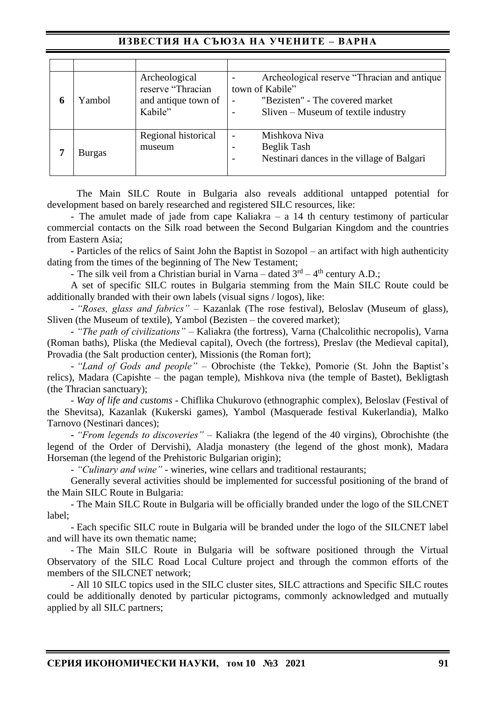| 6 | Yambol | Archeological<br>reserve "Thracian<br>and antique town of<br>Kabile" | Archeological reserve "Thracian and antique<br>town of Kabile"<br>"Bezisten" - The covered market<br>$\overline{\phantom{0}}$<br>Sliven – Museum of textile industry |
|---|--------|----------------------------------------------------------------------|----------------------------------------------------------------------------------------------------------------------------------------------------------------------|
| 7 | Burgas | Regional historical<br>museum                                        | Mishkova Niva<br>Beglik Tash<br>Nestinari dances in the village of Balgari<br>$\overline{\phantom{0}}$                                                               |

The Main SILC Route in Bulgaria also reveals additional untapped potential for development based on barely researched and registered SILC resources, like:

- The amulet made of jade from cape Kaliakra – a 14 th century testimony of particular commercial contacts on the Silk road between the Second Bulgarian Kingdom and the countries from Eastern Asia;

- Particles of the relics of Saint John the Baptist in Sozopol – an artifact with high authenticity dating from the times of the beginning of The New Testament;

- The silk veil from a Christian burial in Varna – dated  $3<sup>rd</sup> - 4<sup>th</sup>$  century A.D.;

A set of specific SILC routes in Bulgaria stemming from the Main SILC Route could be additionally branded with their own labels (visual signs / logos), like:

- *"Roses, glass and fabrics"* – Kazanlak (The rose festival), Beloslav (Museum of glass), Sliven (the Museum of textile), Yambol (Bezisten – the covered market);

- *"The path of civilizations"* – Kaliakra (the fortress), Varna (Chalcolithic necropolis), Varna (Roman baths), Pliska (the Medieval capital), Ovech (the fortress), Preslav (the Medieval capital), Provadia (the Salt production center), Missionis (the Roman fort);

- *"Land of Gods and people"* – Obrochiste (the Tekke), Pomorie (St. John the Baptist's relics), Madara (Capishte – the pagan temple), Mishkova niva (the temple of Bastet), Bekligtash (the Thracian sanctuary);

- *Way of life and customs* - Chiflika Chukurovo (ethnographic complex), Beloslav (Festival of the Shevitsa), Kazanlak (Kukerski games), Yambol (Masquerade festival Kukerlandia), Malko Tarnovo (Nestinari dances);

- *"From legends to discoveries"* – Kaliakra (the legend of the 40 virgins), Obrochishte (the legend of the Order of Dervishi), Aladja monastery (the legend of the ghost monk), Madara Horseman (the legend of the Prehistoric Bulgarian origin);

- *"Culinary and wine"* - wineries, wine cellars and traditional restaurants;

Generally several activities should be implemented for successful positioning of the brand of the Main SILC Route in Bulgaria:

- The Main SILC Route in Bulgaria will be officially branded under the logo of the SILCNET label;

- Each specific SILC route in Bulgaria will be branded under the logo of the SILCNET label and will have its own thematic name;

- The Main SILC Route in Bulgaria will be software positioned through the Virtual Observatory of the SILC Road Local Culture project and through the common efforts of the members of the SILCNET network;

- All 10 SILC topics used in the SILC cluster sites, SILC attractions and Specific SILC routes could be additionally denoted by particular pictograms, commonly acknowledged and mutually applied by all SILC partners;